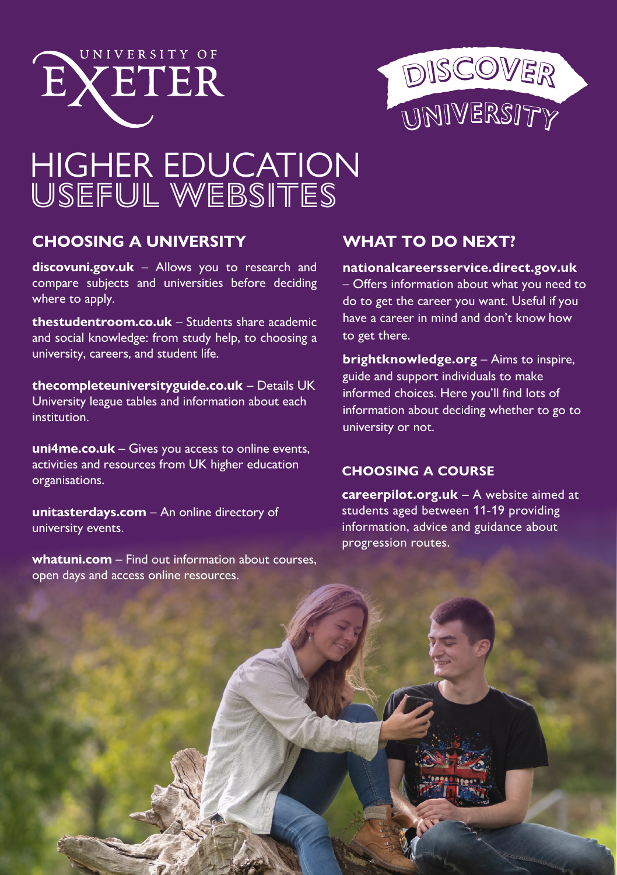



# HIGHER EDUCATION USEFUL WEBSITES

# **CHOOSING A UNIVERSITY**

**[discovuni.gov.uk](https://discoveruni.gov.uk/)** – Allows you to research and compare subjects and universities before deciding where to apply.

**[thestudentroom.co.uk](https://www.thestudentroom.co.uk/)** – Students share academic and social knowledge: from study help, to choosing a university, careers, and student life.

**<thecompleteuniversityguide.co.uk>** – Details UK University league tables and information about each institution.

**[uni4me.co.uk](https://uni4me.co.uk/)** – Gives you access to online events, activities and resources from UK higher education organisations.

**[unitasterdays.com](https://unitasterdays.com/)** – An online directory of university events.

**[whatuni.com](https://www.whatuni.com/)** – Find out information about courses, open days and access online resources.

# **WHAT TO DO NEXT?**

**[nationalcareersservice.direct.gov.uk](http://nationalcareersservice.direct.gov.uk)**

– Offers information about what you need to do to get the career you want. Useful if you have a career in mind and don't know how to get there.

**[brightknowledge.org](http://www.brightknowledge.org)** – Aims to inspire, guide and support individuals to make informed choices. Here you'll find lots of information about deciding whether to go to university or not.

### **CHOOSING A COURSE**

**[careerpilot.org.uk](https://www.careerpilot.org.uk/)** – A website aimed at students aged between 11-19 providing information, advice and guidance about progression routes.